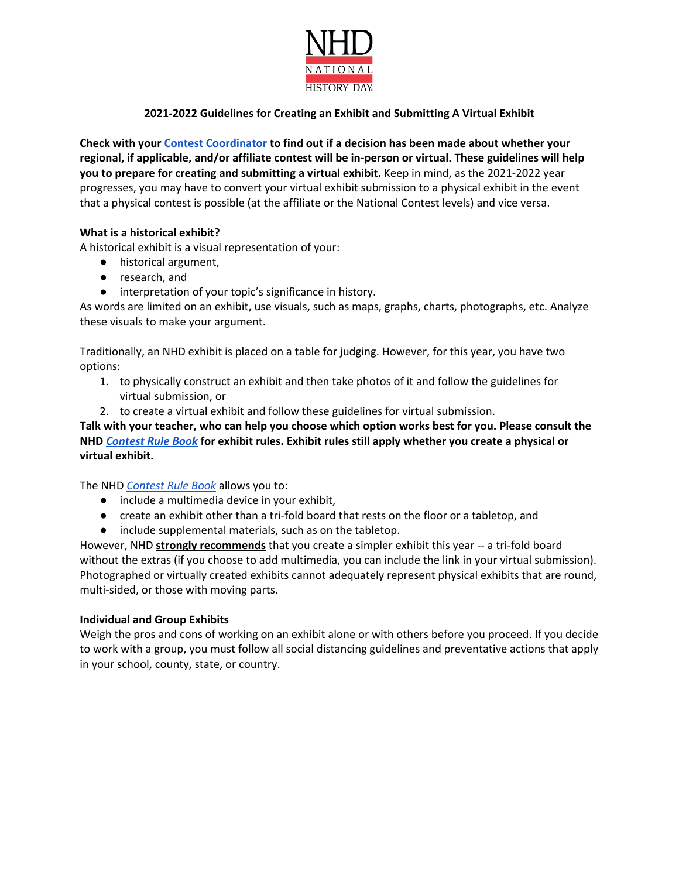

# **2021-2022 Guidelines for Creating an Exhibit and Submitting A Virtual Exhibit**

**Check with your Contest Coordinator to find out if a decision has been made about whether your regional, if applicable, and/or affiliate contest will be in-person or virtual. These guidelines will help you to prepare for creating and submitting a virtual exhibit.** Keep in mind, as the 2021-2022 year progresses, you may have to convert your virtual exhibit submission to a physical exhibit in the event that a physical contest is possible (at the affiliate or the National Contest levels) and vice versa.

## **What is a historical exhibit?**

A historical exhibit is a visual representation of your:

- historical argument,
- research, and
- interpretation of your topic's significance in history.

As words are limited on an exhibit, use visuals, such as maps, graphs, charts, photographs, etc. Analyze these visuals to make your argument.

Traditionally, an NHD exhibit is placed on a table for judging. However, for this year, you have two options:

- 1. to physically construct an exhibit and then take photos of it and follow the guidelines for virtual submission, or
- 2. to create a virtual exhibit and follow these guidelines for virtual submission.

**Talk with your teacher, who can help you choose which option works best for you. Please consult the NHD** *Contest Rule Book* **for exhibit rules. Exhibit rules still apply whether you create a physical or virtual exhibit.** 

The NHD *Contest Rule Book* allows you to:

- include a multimedia device in your exhibit,
- create an exhibit other than a tri-fold board that rests on the floor or a tabletop, and
- include supplemental materials, such as on the tabletop.

However, NHD **strongly recommends** that you create a simpler exhibit this year -- a tri-fold board without the extras (if you choose to add multimedia, you can include the link in your virtual submission). Photographed or virtually created exhibits cannot adequately represent physical exhibits that are round, multi-sided, or those with moving parts.

## **Individual and Group Exhibits**

Weigh the pros and cons of working on an exhibit alone or with others before you proceed. If you decide to work with a group, you must follow all social distancing guidelines and preventative actions that apply in your school, county, state, or country.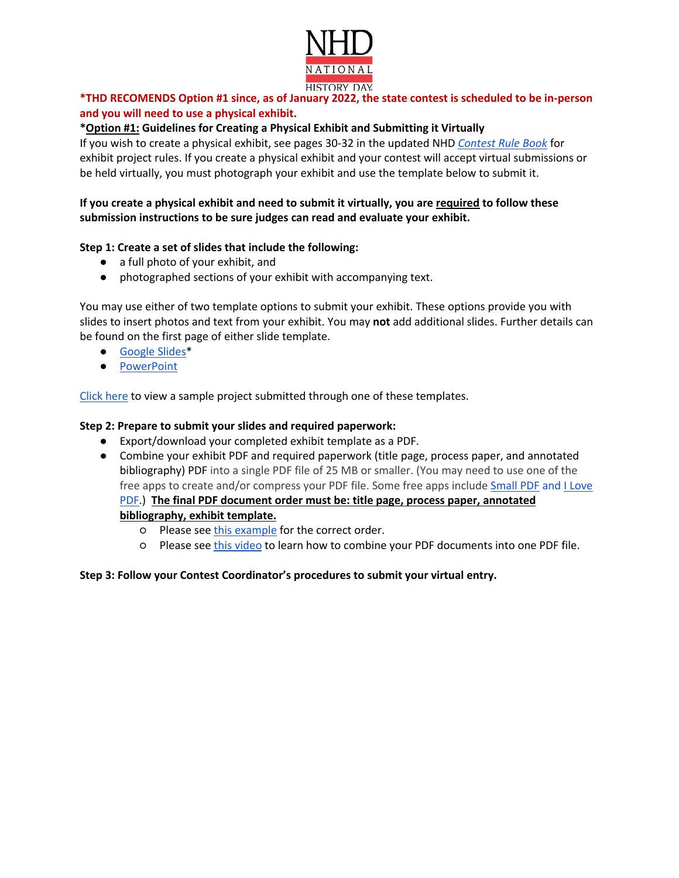

# **\*THD RECOMENDS Option #1 since, as of January 2022, the state contest is scheduled to be in-person and you will need to use a physical exhibit.**

## **\*Option #1: Guidelines for Creating a Physical Exhibit and Submitting it Virtually**

If you wish to create a physical exhibit, see pages 30-32 in the updated NHD *Contest Rule Book* for exhibit project rules. If you create a physical exhibit and your contest will accept virtual submissions or be held virtually, you must photograph your exhibit and use the template below to submit it.

## **If you create a physical exhibit and need to submit it virtually, you are required to follow these submission instructions to be sure judges can read and evaluate your exhibit.**

## **Step 1: Create a set of slides that include the following:**

- a full photo of your exhibit, and
- photographed sections of your exhibit with accompanying text.

You may use either of two template options to submit your exhibit. These options provide you with slides to insert photos and text from your exhibit. You may **not** add additional slides. Further details can be found on the first page of either slide template.

- Google Slides\*
- **PowerPoint**

Click here to view a sample project submitted through one of these templates.

#### **Step 2: Prepare to submit your slides and required paperwork:**

- Export/download your completed exhibit template as a PDF.
- Combine your exhibit PDF and required paperwork (title page, process paper, and annotated bibliography) PDF into a single PDF file of 25 MB or smaller. (You may need to use one of the free apps to create and/or compress your PDF file. Some free apps include Small PDF and I Love PDF.) **The final PDF document order must be: title page, process paper, annotated bibliography, exhibit template.** 
	- o Please see this example for the correct order.
	- Please see this video to learn how to combine your PDF documents into one PDF file.

## **Step 3: Follow your Contest Coordinator's procedures to submit your virtual entry.**